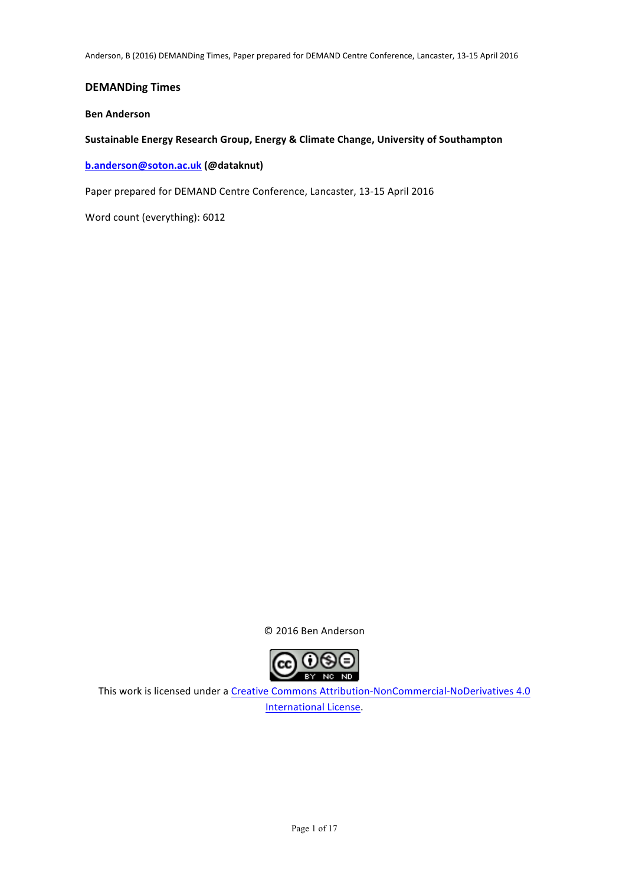## **DEMANDing Times**

#### **Ben Anderson**

#### Sustainable Energy Research Group, Energy & Climate Change, University of Southampton

#### **b.anderson@soton.ac.uk (@dataknut)**

Paper prepared for DEMAND Centre Conference, Lancaster, 13-15 April 2016

Word count (everything): 6012

© 2016 Ben Anderson



This work is licensed under a Creative Commons Attribution-NonCommercial-NoDerivatives 4.0 International License.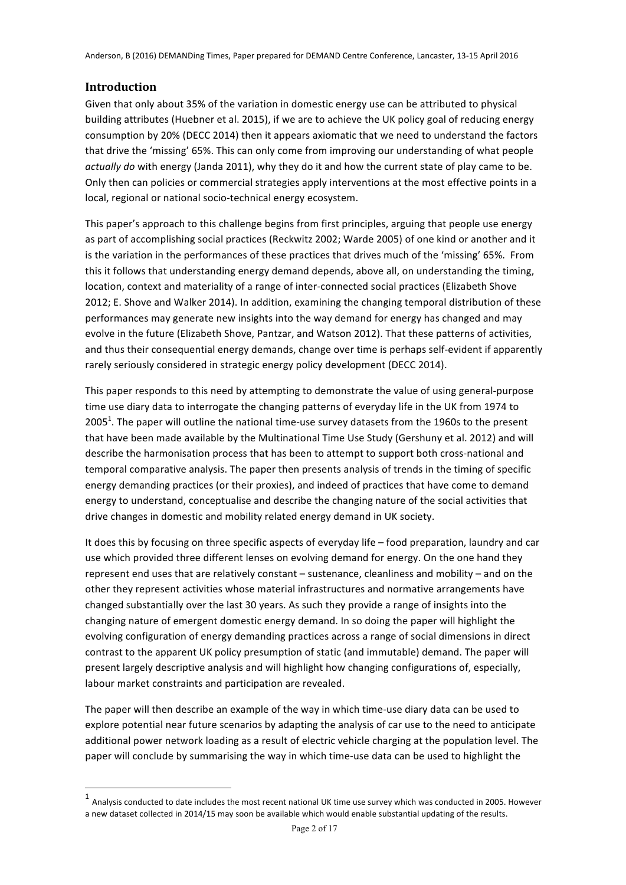### **Introduction**

Given that only about 35% of the variation in domestic energy use can be attributed to physical building attributes (Huebner et al. 2015), if we are to achieve the UK policy goal of reducing energy consumption by 20% (DECC 2014) then it appears axiomatic that we need to understand the factors that drive the 'missing' 65%. This can only come from improving our understanding of what people *actually do* with energy (Janda 2011), why they do it and how the current state of play came to be. Only then can policies or commercial strategies apply interventions at the most effective points in a local, regional or national socio-technical energy ecosystem.

This paper's approach to this challenge begins from first principles, arguing that people use energy as part of accomplishing social practices (Reckwitz 2002; Warde 2005) of one kind or another and it is the variation in the performances of these practices that drives much of the 'missing' 65%. From this it follows that understanding energy demand depends, above all, on understanding the timing, location, context and materiality of a range of inter-connected social practices (Elizabeth Shove 2012; E. Shove and Walker 2014). In addition, examining the changing temporal distribution of these performances may generate new insights into the way demand for energy has changed and may evolve in the future (Elizabeth Shove, Pantzar, and Watson 2012). That these patterns of activities, and thus their consequential energy demands, change over time is perhaps self-evident if apparently rarely seriously considered in strategic energy policy development (DECC 2014).

This paper responds to this need by attempting to demonstrate the value of using general-purpose time use diary data to interrogate the changing patterns of everyday life in the UK from 1974 to 2005<sup>1</sup>. The paper will outline the national time-use survey datasets from the 1960s to the present that have been made available by the Multinational Time Use Study (Gershuny et al. 2012) and will describe the harmonisation process that has been to attempt to support both cross-national and temporal comparative analysis. The paper then presents analysis of trends in the timing of specific energy demanding practices (or their proxies), and indeed of practices that have come to demand energy to understand, conceptualise and describe the changing nature of the social activities that drive changes in domestic and mobility related energy demand in UK society.

It does this by focusing on three specific aspects of everyday life – food preparation, laundry and car use which provided three different lenses on evolving demand for energy. On the one hand they represent end uses that are relatively constant – sustenance, cleanliness and mobility – and on the other they represent activities whose material infrastructures and normative arrangements have changed substantially over the last 30 years. As such they provide a range of insights into the changing nature of emergent domestic energy demand. In so doing the paper will highlight the evolving configuration of energy demanding practices across a range of social dimensions in direct contrast to the apparent UK policy presumption of static (and immutable) demand. The paper will present largely descriptive analysis and will highlight how changing configurations of, especially, labour market constraints and participation are revealed.

The paper will then describe an example of the way in which time-use diary data can be used to explore potential near future scenarios by adapting the analysis of car use to the need to anticipate additional power network loading as a result of electric vehicle charging at the population level. The paper will conclude by summarising the way in which time-use data can be used to highlight the

 

 $<sup>1</sup>$  Analysis conducted to date includes the most recent national UK time use survey which was conducted in 2005. However</sup> a new dataset collected in 2014/15 may soon be available which would enable substantial updating of the results.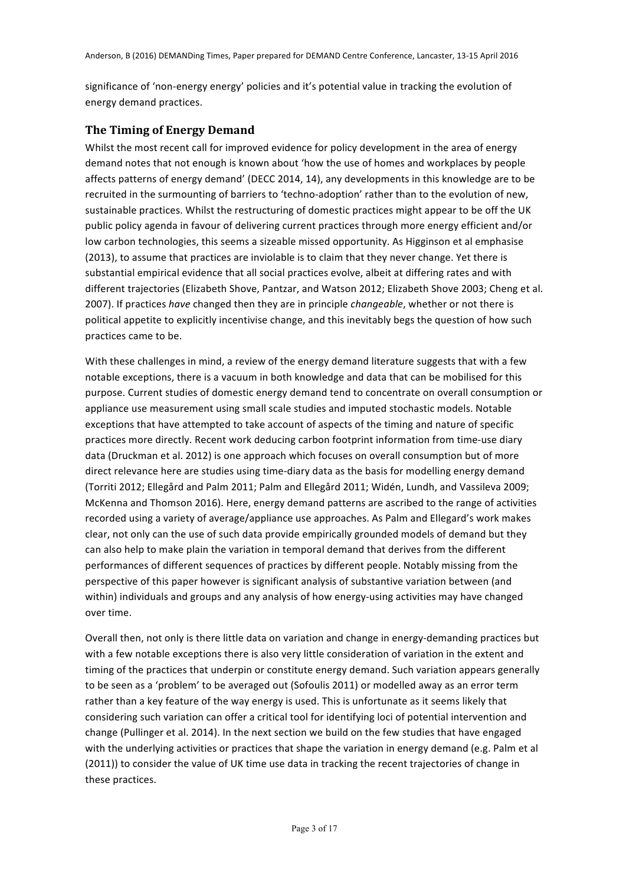significance of 'non-energy energy' policies and it's potential value in tracking the evolution of energy demand practices.

# **The Timing of Energy Demand**

Whilst the most recent call for improved evidence for policy development in the area of energy demand notes that not enough is known about 'how the use of homes and workplaces by people affects patterns of energy demand' (DECC 2014, 14), any developments in this knowledge are to be recruited in the surmounting of barriers to 'techno-adoption' rather than to the evolution of new. sustainable practices. Whilst the restructuring of domestic practices might appear to be off the UK public policy agenda in favour of delivering current practices through more energy efficient and/or low carbon technologies, this seems a sizeable missed opportunity. As Higginson et al emphasise (2013), to assume that practices are inviolable is to claim that they never change. Yet there is substantial empirical evidence that all social practices evolve, albeit at differing rates and with different trajectories (Elizabeth Shove, Pantzar, and Watson 2012; Elizabeth Shove 2003; Cheng et al. 2007). If practices have changed then they are in principle *changeable*, whether or not there is political appetite to explicitly incentivise change, and this inevitably begs the question of how such practices came to be.

With these challenges in mind, a review of the energy demand literature suggests that with a few notable exceptions, there is a vacuum in both knowledge and data that can be mobilised for this purpose. Current studies of domestic energy demand tend to concentrate on overall consumption or appliance use measurement using small scale studies and imputed stochastic models. Notable exceptions that have attempted to take account of aspects of the timing and nature of specific practices more directly. Recent work deducing carbon footprint information from time-use diary data (Druckman et al. 2012) is one approach which focuses on overall consumption but of more direct relevance here are studies using time-diary data as the basis for modelling energy demand (Torriti 2012; Ellegård and Palm 2011; Palm and Ellegård 2011; Widén, Lundh, and Vassileva 2009; McKenna and Thomson 2016). Here, energy demand patterns are ascribed to the range of activities recorded using a variety of average/appliance use approaches. As Palm and Ellegard's work makes clear, not only can the use of such data provide empirically grounded models of demand but they can also help to make plain the variation in temporal demand that derives from the different performances of different sequences of practices by different people. Notably missing from the perspective of this paper however is significant analysis of substantive variation between (and within) individuals and groups and any analysis of how energy-using activities may have changed over time.

Overall then, not only is there little data on variation and change in energy-demanding practices but with a few notable exceptions there is also very little consideration of variation in the extent and timing of the practices that underpin or constitute energy demand. Such variation appears generally to be seen as a 'problem' to be averaged out (Sofoulis 2011) or modelled away as an error term rather than a key feature of the way energy is used. This is unfortunate as it seems likely that considering such variation can offer a critical tool for identifying loci of potential intervention and change (Pullinger et al. 2014). In the next section we build on the few studies that have engaged with the underlying activities or practices that shape the variation in energy demand (e.g. Palm et al (2011)) to consider the value of UK time use data in tracking the recent trajectories of change in these practices.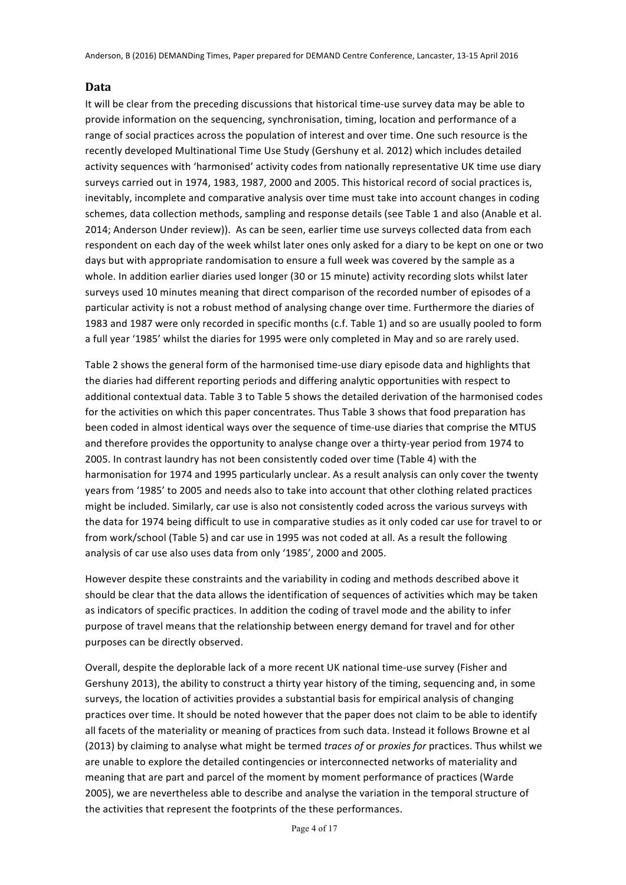#### **Data**

It will be clear from the preceding discussions that historical time-use survey data may be able to provide information on the sequencing, synchronisation, timing, location and performance of a range of social practices across the population of interest and over time. One such resource is the recently developed Multinational Time Use Study (Gershuny et al. 2012) which includes detailed activity sequences with 'harmonised' activity codes from nationally representative UK time use diary surveys carried out in 1974, 1983, 1987, 2000 and 2005. This historical record of social practices is, inevitably, incomplete and comparative analysis over time must take into account changes in coding schemes, data collection methods, sampling and response details (see Table 1 and also (Anable et al. 2014; Anderson Under review)). As can be seen, earlier time use surveys collected data from each respondent on each day of the week whilst later ones only asked for a diary to be kept on one or two days but with appropriate randomisation to ensure a full week was covered by the sample as a whole. In addition earlier diaries used longer (30 or 15 minute) activity recording slots whilst later surveys used 10 minutes meaning that direct comparison of the recorded number of episodes of a particular activity is not a robust method of analysing change over time. Furthermore the diaries of 1983 and 1987 were only recorded in specific months (c.f. Table 1) and so are usually pooled to form a full year '1985' whilst the diaries for 1995 were only completed in May and so are rarely used.

Table 2 shows the general form of the harmonised time-use diary episode data and highlights that the diaries had different reporting periods and differing analytic opportunities with respect to additional contextual data. Table 3 to Table 5 shows the detailed derivation of the harmonised codes for the activities on which this paper concentrates. Thus Table 3 shows that food preparation has been coded in almost identical ways over the sequence of time-use diaries that comprise the MTUS and therefore provides the opportunity to analyse change over a thirty-year period from 1974 to 2005. In contrast laundry has not been consistently coded over time (Table 4) with the harmonisation for 1974 and 1995 particularly unclear. As a result analysis can only cover the twenty years from '1985' to 2005 and needs also to take into account that other clothing related practices might be included. Similarly, car use is also not consistently coded across the various surveys with the data for 1974 being difficult to use in comparative studies as it only coded car use for travel to or from work/school (Table 5) and car use in 1995 was not coded at all. As a result the following analysis of car use also uses data from only '1985', 2000 and 2005.

However despite these constraints and the variability in coding and methods described above it should be clear that the data allows the identification of sequences of activities which may be taken as indicators of specific practices. In addition the coding of travel mode and the ability to infer purpose of travel means that the relationship between energy demand for travel and for other purposes can be directly observed.

Overall, despite the deplorable lack of a more recent UK national time-use survey (Fisher and Gershuny 2013), the ability to construct a thirty year history of the timing, sequencing and, in some surveys, the location of activities provides a substantial basis for empirical analysis of changing practices over time. It should be noted however that the paper does not claim to be able to identify all facets of the materiality or meaning of practices from such data. Instead it follows Browne et al (2013) by claiming to analyse what might be termed *traces of* or *proxies* for practices. Thus whilst we are unable to explore the detailed contingencies or interconnected networks of materiality and meaning that are part and parcel of the moment by moment performance of practices (Warde 2005), we are nevertheless able to describe and analyse the variation in the temporal structure of the activities that represent the footprints of the these performances.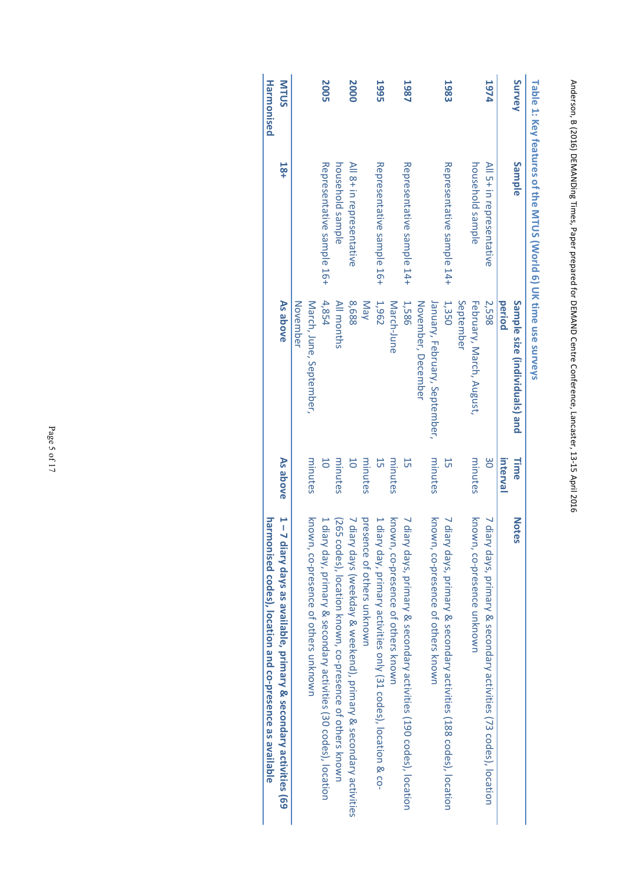|                   | Table 1: Key features of the MICS (World 6) UK time use surveys |                                                     |                  |                                                                    |
|-------------------|-----------------------------------------------------------------|-----------------------------------------------------|------------------|--------------------------------------------------------------------|
| Survey            | <b>Sample</b>                                                   | period<br>Sample size (individuals) and             | interval<br>Time | <b>Notes</b>                                                       |
| <b>47974</b>      | All 5+ in representative                                        | 2,598                                               | 8O               | 7 diary days, primary & secondary activities (73 codes), location  |
|                   | household sample                                                | September<br>February, March, August,               | minutes          | known, co-presence unknown                                         |
| 1983              | Representative sample 14+                                       | 1,350                                               | 55               | 7 diary days, primary & secondary activities (188 codes), location |
|                   |                                                                 | November, December<br>January, February, September, | minutes          | known, co-presence of others known                                 |
| <b>1987</b>       | Representative sample 14+                                       | 1,586                                               | 55               | 7 diary days, primary & secondary activities (190 codes), location |
|                   |                                                                 | March-June                                          | minutes          | known, co-presence of others known                                 |
| <b>1995</b>       | Representative sample 16+                                       | 1,962                                               | 15               | 1 diary day, primary activities only (31 codes), location & co-    |
|                   |                                                                 | Nay                                                 | minutes          | presence of others unknown                                         |
| 2000              | All 8+ in representative                                        | 89'8                                                | 50               | 7 diary days (weekday & weekend), primary & secondary activities   |
|                   | household sample                                                | All months                                          | minutes          | (265 codes), location known, co-presence of others known           |
| <b>2005</b>       | Representative sample 16+                                       | 4,854                                               | $\overline{0}$   | 1 diary day, primary & secondary activities (30 codes), location   |
|                   |                                                                 | March, June, September,                             | minutes          | known, co-presence of others unknown                               |
|                   |                                                                 | November                                            |                  |                                                                    |
| <b>MTUS</b>       | $18+$                                                           | As above                                            | As above         | 1 - 7 diary days as available, primary & secondary activities (69  |
| <b>Harmonised</b> |                                                                 |                                                     |                  | harmonised codes), location and co-presence as available           |
|                   |                                                                 |                                                     |                  |                                                                    |

Anderson, B (2016) DEMANDing Times, Paper prepared for DEMAND Centre Conference, Lancaster, 13-15 April 2016 

Anderson, B (2016) DEMANDing Times, Paper prepared for DEMAND Centre Conference, Lancaster, 13-15 April 2016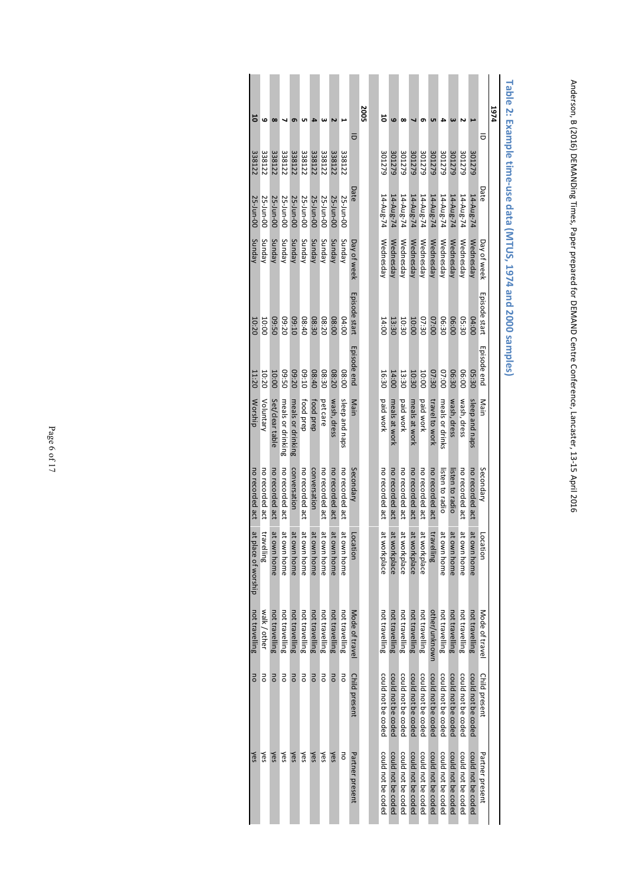|             |        |           |                  | Table 2: Example time-use data (MTUS, 1974 and 2000 samples) |             |                   |                 |                     |                |                    |                    |
|-------------|--------|-----------|------------------|--------------------------------------------------------------|-------------|-------------------|-----------------|---------------------|----------------|--------------------|--------------------|
| <b>7974</b> |        |           |                  |                                                              |             |                   |                 |                     |                |                    |                    |
| ᅙ           |        | Date      | Day of week      | Episode start                                                | Episode end | Main              | Secondary       | Location            | Mode of travel | Child present      | Partner present    |
|             | 301279 | 14-Aug-74 | <b>Wednesday</b> | 00:70                                                        | 03:30       | sqen and naps     | no recorded act | at own home         | not travelling | could not be coded | could not be coded |
|             | 301279 | 14-Aug-74 | Wednesday        | 05:30                                                        | 06:00       | wash, dress       | no recorded act | ٩<br>own home       | not travelling | could not be coded | could not be coded |
|             | 301279 | 14-Aug-74 | Wednesday        | 06:00                                                        | 06:30       | wash, dress       | listen to radio | at<br>own home      | not travelling | could not be coded | could not be coded |
|             | 301279 | 14-Aug-74 | Wednesday        | 06:30                                                        | 07:00       | meals or drinks   | listen to radio | at own home         | not travelling | could not be coded | could not be coded |
|             | 301279 | 14-Aug-74 | Wednesday        | 00:20                                                        | 07:30       | travel to work    | no recorded act | E.I<br>velling      | other/unknown  | could not be coded | could not be coded |
| ໑           | 301279 | 14-Aug-74 | Wednesday        | 02:30                                                        | 10:00       | paid work         | no recorded act | Ρă<br>workplace     | not travelling | could not be coded | could not be coded |
|             | 301279 | 14-Aug-74 | Wednesday        | <b>10:00</b>                                                 | 10:30       | meals at work     | no recorded act | π<br>workplace      | not travelling | could not be coded | could not be coded |
| $\infty$    | 301279 | 14-Aug-74 | <b>Wednesday</b> | 10:30                                                        | 13:30       | paid work         | no recorded act | Ξ<br>workplace      | not travelling | could not be coded | could not be coded |
| ဖ           | 301279 | 14-Aug-74 | Wednesday        | 13:30                                                        | 14:00       | meals at work     | no recorded act | π<br>workplace      | not travelling | could not be coded | could not be coded |
| ដ           | 301279 | 14-Aug-74 | Wednesday        | 14:00                                                        | 16:30       | paid work         | no recorded act | ά<br>workplace      | not travelling | could not be coded | could not be coded |
|             |        |           |                  |                                                              |             |                   |                 |                     |                |                    |                    |
| 2005        |        |           |                  |                                                              |             |                   |                 |                     |                |                    |                    |
| ᅙ           |        | Date      | Day of week      | Episode start                                                | Episode end | Main              | Secondary       | Location            | Mode of travel | Child present      | Partner present    |
|             | 338122 | 25-Jun-00 | Sunday           | 04:00                                                        | 08:00       | sqeu and naps     | no recorded act | π<br>own home       | not travelling | Jo                 | ō                  |
|             | 338122 | 25-Jun-00 | Sunday           | 08:00                                                        | 08:20       | wash, dress       | no recorded act | ηe<br>own home      | not travelling | JO                 | yes                |
|             | 338122 | 25-Jun-00 | Sunday           | 08:20                                                        | 08:30       | pet care          | no recorded act | άt<br>own home      | not travelling | ō                  | λes                |
| b           | 338122 | 25-Jun-00 | <b>Aepuns</b>    | 08:30                                                        | 08:40       | food prep         | conversation    | at<br>own home      | not travelling | JO                 | yes                |
| UП          | 338122 | 25-Jun-00 | <b>Aepuns</b>    | 05:40                                                        | 03:10       | food prep         | no recorded act | π<br>own home       | not travelling | $\overline{5}$     | yes                |
| ō           | 338122 | 25-Jun-00 | <b>Aepuns</b>    | 01:50                                                        | 03:20       | meals or drinking | conversation    | π<br>own home       | not travelling | Jo                 | yes                |
|             | 338122 | 25-Jun-00 | Sunday           | 03:20                                                        | 05:50       | meals or drinking | no recorded act | ά<br>own home       | not travelling | ō                  | λ€s                |
| $\infty$    | 338122 | 25-Jun-00 | <b>Aepuns</b>    | 05:60                                                        | 10:00       | Set/clear table   | no recorded act | at own home         | not travelling | <b>DO</b>          | yes                |
| ဖ           | 338122 | 25-Jun-00 | <b>Aepuns</b>    | 10:00                                                        | 10:20       | Voluntary         | no recorded act | travelling          | walk / other   | Jo                 | yes                |
| ដ           | 338122 | 25-Jun-00 | Sunday           | 10:20                                                        | 11:20       | Worship           | no recorded act | at place of worship | not travelling | ō                  | yes                |

Anderson, B (2016) DEMANDing Times, Paper prepared for DEMAND Centre Conference, Lancaster, 13-15 April 2016 

Anderson, B (2016) DEMANDing Times, Paper prepared for DEMAND Centre Conference, Lancaster, 13-15 April 2016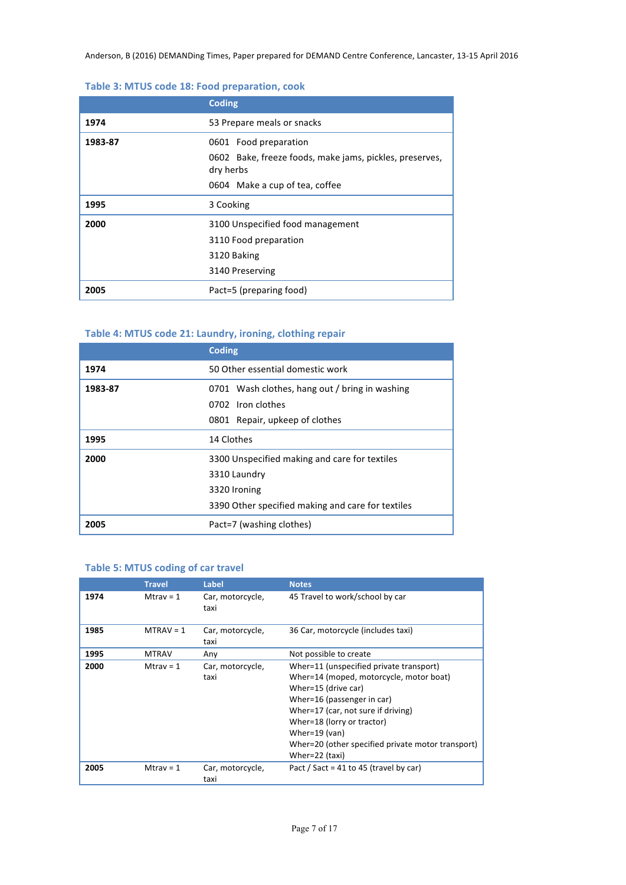#### Table 3: MTUS code 18: Food preparation, cook

|         | <b>Coding</b>                                                                                                                   |  |  |
|---------|---------------------------------------------------------------------------------------------------------------------------------|--|--|
| 1974    | 53 Prepare meals or snacks                                                                                                      |  |  |
| 1983-87 | 0601 Food preparation<br>0602 Bake, freeze foods, make jams, pickles, preserves,<br>dry herbs<br>0604 Make a cup of tea, coffee |  |  |
|         | 3 Cooking                                                                                                                       |  |  |
| 1995    |                                                                                                                                 |  |  |
| 2000    | 3100 Unspecified food management<br>3110 Food preparation<br>3120 Baking<br>3140 Preserving                                     |  |  |

## Table 4: MTUS code 21: Laundry, ironing, clothing repair

|         | <b>Coding</b>                                     |  |  |
|---------|---------------------------------------------------|--|--|
| 1974    | 50 Other essential domestic work                  |  |  |
| 1983-87 | 0701 Wash clothes, hang out / bring in washing    |  |  |
|         | 0702 Iron clothes                                 |  |  |
|         | 0801 Repair, upkeep of clothes                    |  |  |
| 1995    | 14 Clothes                                        |  |  |
| 2000    | 3300 Unspecified making and care for textiles     |  |  |
|         | 3310 Laundry                                      |  |  |
|         | 3320 Ironing                                      |  |  |
|         | 3390 Other specified making and care for textiles |  |  |
| 2005    | Pact=7 (washing clothes)                          |  |  |

## **Table 5: MTUS coding of car travel**

|      | <b>Travel</b> | Label                    | <b>Notes</b>                                                                                                                                                                                                                                                                                        |
|------|---------------|--------------------------|-----------------------------------------------------------------------------------------------------------------------------------------------------------------------------------------------------------------------------------------------------------------------------------------------------|
| 1974 | Mtray = $1$   | Car, motorcycle,<br>taxi | 45 Travel to work/school by car                                                                                                                                                                                                                                                                     |
| 1985 | $MTRAV = 1$   | Car, motorcycle,<br>taxi | 36 Car, motorcycle (includes taxi)                                                                                                                                                                                                                                                                  |
| 1995 | <b>MTRAV</b>  | Any                      | Not possible to create                                                                                                                                                                                                                                                                              |
| 2000 | Mtray = $1$   | Car, motorcycle,<br>taxi | Wher=11 (unspecified private transport)<br>Wher=14 (moped, motorcycle, motor boat)<br>Wher=15 (drive car)<br>Wher=16 (passenger in car)<br>Wher=17 (car, not sure if driving)<br>Wher=18 (lorry or tractor)<br>Wher=19 (van)<br>Wher=20 (other specified private motor transport)<br>Wher=22 (taxi) |
| 2005 | Mtrav = $1$   | Car, motorcycle,<br>taxi | Pact / Sact = 41 to 45 (travel by car)                                                                                                                                                                                                                                                              |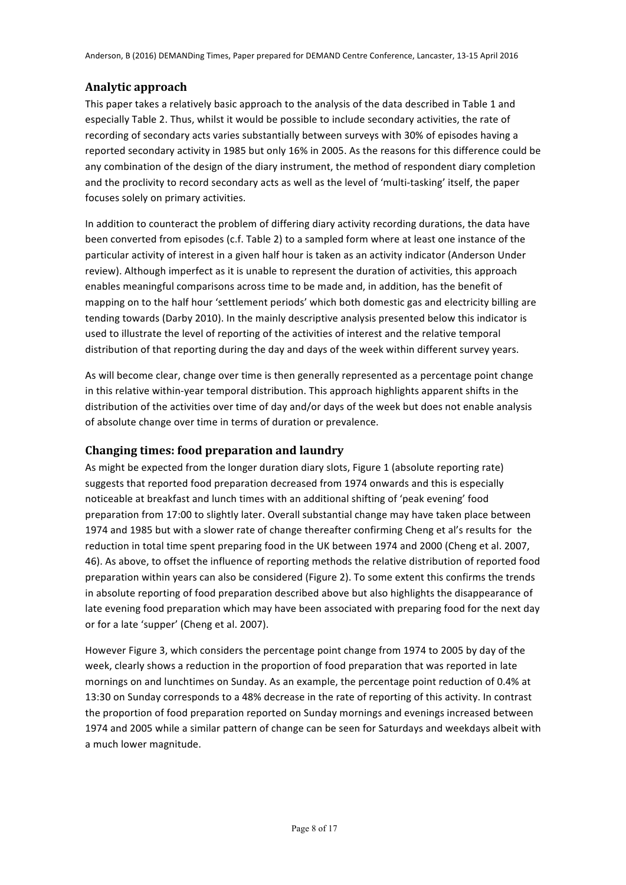# **Analytic approach**

This paper takes a relatively basic approach to the analysis of the data described in Table 1 and especially Table 2. Thus, whilst it would be possible to include secondary activities, the rate of recording of secondary acts varies substantially between surveys with 30% of episodes having a reported secondary activity in 1985 but only 16% in 2005. As the reasons for this difference could be any combination of the design of the diary instrument, the method of respondent diary completion and the proclivity to record secondary acts as well as the level of 'multi-tasking' itself, the paper focuses solely on primary activities.

In addition to counteract the problem of differing diary activity recording durations, the data have been converted from episodes (c.f. Table 2) to a sampled form where at least one instance of the particular activity of interest in a given half hour is taken as an activity indicator (Anderson Under review). Although imperfect as it is unable to represent the duration of activities, this approach enables meaningful comparisons across time to be made and, in addition, has the benefit of mapping on to the half hour 'settlement periods' which both domestic gas and electricity billing are tending towards (Darby 2010). In the mainly descriptive analysis presented below this indicator is used to illustrate the level of reporting of the activities of interest and the relative temporal distribution of that reporting during the day and days of the week within different survey years.

As will become clear, change over time is then generally represented as a percentage point change in this relative within-year temporal distribution. This approach highlights apparent shifts in the distribution of the activities over time of day and/or days of the week but does not enable analysis of absolute change over time in terms of duration or prevalence.

# **Changing times: food preparation and laundry**

As might be expected from the longer duration diary slots, Figure 1 (absolute reporting rate) suggests that reported food preparation decreased from 1974 onwards and this is especially noticeable at breakfast and lunch times with an additional shifting of 'peak evening' food preparation from 17:00 to slightly later. Overall substantial change may have taken place between 1974 and 1985 but with a slower rate of change thereafter confirming Cheng et al's results for the reduction in total time spent preparing food in the UK between 1974 and 2000 (Cheng et al. 2007, 46). As above, to offset the influence of reporting methods the relative distribution of reported food preparation within years can also be considered (Figure 2). To some extent this confirms the trends in absolute reporting of food preparation described above but also highlights the disappearance of late evening food preparation which may have been associated with preparing food for the next day or for a late 'supper' (Cheng et al. 2007).

However Figure 3, which considers the percentage point change from 1974 to 2005 by day of the week, clearly shows a reduction in the proportion of food preparation that was reported in late mornings on and lunchtimes on Sunday. As an example, the percentage point reduction of 0.4% at 13:30 on Sunday corresponds to a 48% decrease in the rate of reporting of this activity. In contrast the proportion of food preparation reported on Sunday mornings and evenings increased between 1974 and 2005 while a similar pattern of change can be seen for Saturdays and weekdays albeit with a much lower magnitude.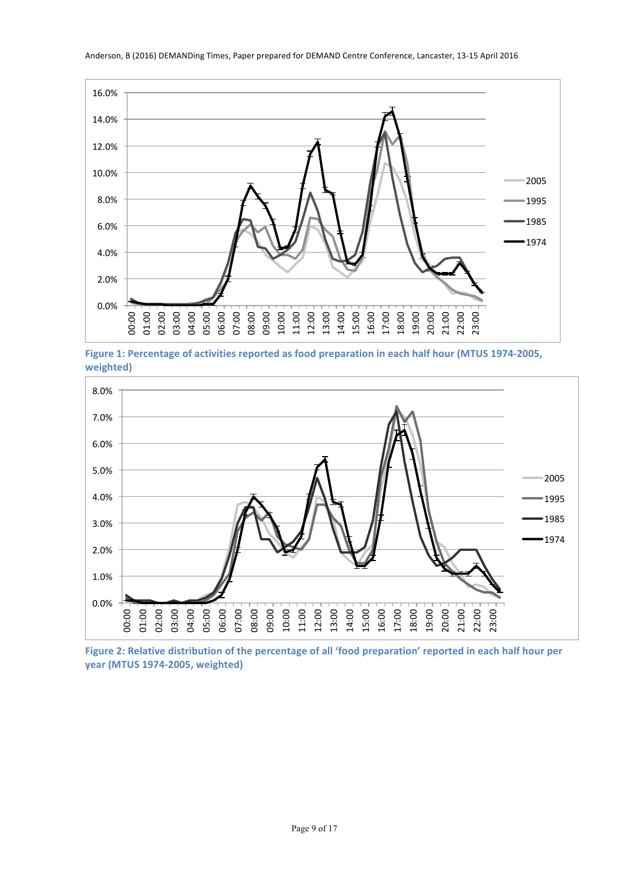

Figure 1: Percentage of activities reported as food preparation in each half hour (MTUS 1974-2005, **weighted)**



Figure 2: Relative distribution of the percentage of all 'food preparation' reported in each half hour per **year (MTUS 1974-2005, weighted)**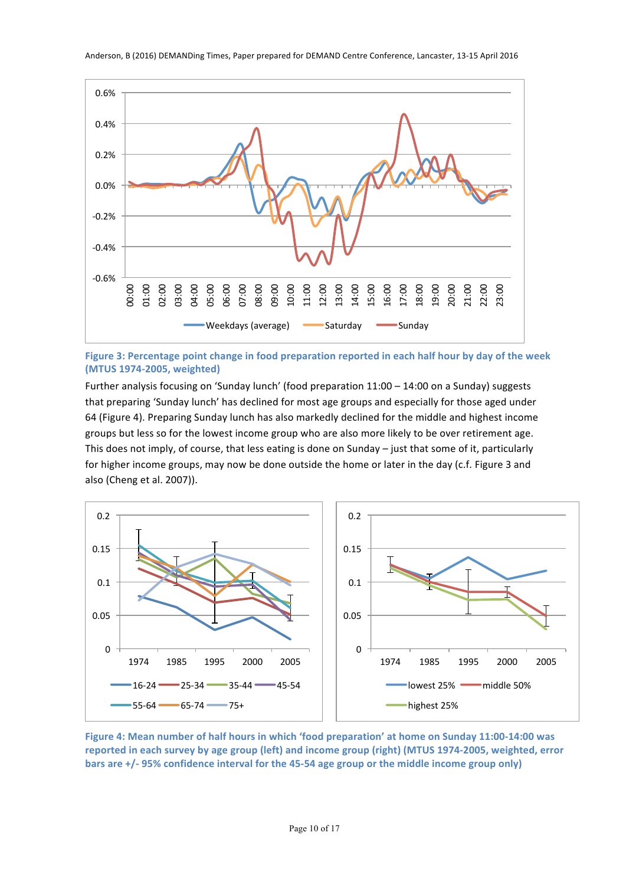

Figure 3: Percentage point change in food preparation reported in each half hour by day of the week **(MTUS 1974-2005, weighted)**

Further analysis focusing on 'Sunday lunch' (food preparation  $11:00 - 14:00$  on a Sunday) suggests that preparing 'Sunday lunch' has declined for most age groups and especially for those aged under 64 (Figure 4). Preparing Sunday lunch has also markedly declined for the middle and highest income groups but less so for the lowest income group who are also more likely to be over retirement age. This does not imply, of course, that less eating is done on Sunday – just that some of it, particularly for higher income groups, may now be done outside the home or later in the day (c.f. Figure 3 and also (Cheng et al. 2007)).



Figure 4: Mean number of half hours in which 'food preparation' at home on Sunday 11:00-14:00 was reported in each survey by age group (left) and income group (right) (MTUS 1974-2005, weighted, error bars are +/- 95% confidence interval for the 45-54 age group or the middle income group only)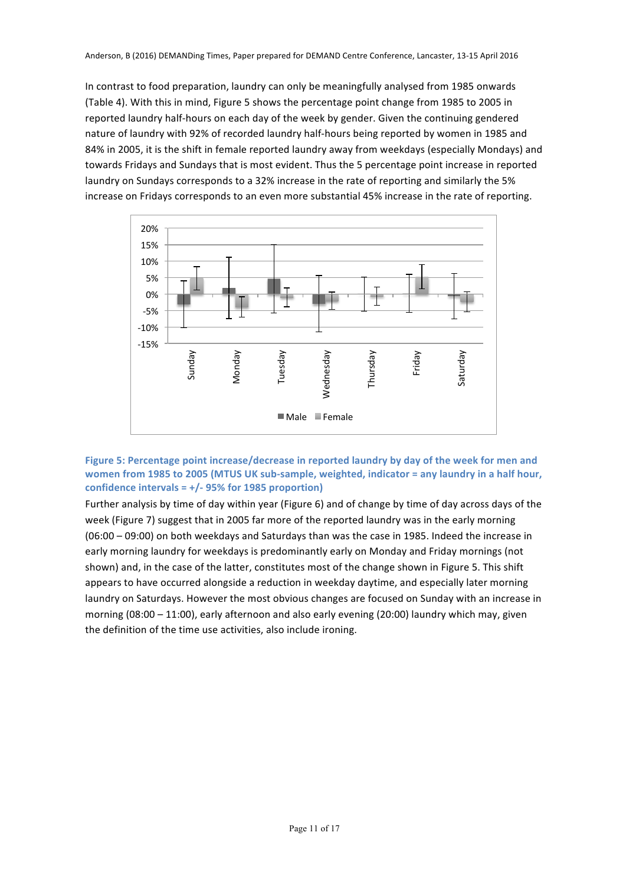In contrast to food preparation, laundry can only be meaningfully analysed from 1985 onwards (Table 4). With this in mind, Figure 5 shows the percentage point change from 1985 to 2005 in reported laundry half-hours on each day of the week by gender. Given the continuing gendered nature of laundry with 92% of recorded laundry half-hours being reported by women in 1985 and 84% in 2005, it is the shift in female reported laundry away from weekdays (especially Mondays) and towards Fridays and Sundays that is most evident. Thus the 5 percentage point increase in reported laundry on Sundays corresponds to a 32% increase in the rate of reporting and similarly the 5% increase on Fridays corresponds to an even more substantial 45% increase in the rate of reporting.



## Figure 5: Percentage point increase/decrease in reported laundry by day of the week for men and women from 1985 to 2005 (MTUS UK sub-sample, weighted, indicator = any laundry in a half hour, confidence intervals  $= +/-95%$  for 1985 proportion)

Further analysis by time of day within year (Figure 6) and of change by time of day across days of the week (Figure 7) suggest that in 2005 far more of the reported laundry was in the early morning  $(06:00 - 09:00)$  on both weekdays and Saturdays than was the case in 1985. Indeed the increase in early morning laundry for weekdays is predominantly early on Monday and Friday mornings (not shown) and, in the case of the latter, constitutes most of the change shown in Figure 5. This shift appears to have occurred alongside a reduction in weekday daytime, and especially later morning laundry on Saturdays. However the most obvious changes are focused on Sunday with an increase in morning  $(08:00 - 11:00)$ , early afternoon and also early evening  $(20:00)$  laundry which may, given the definition of the time use activities, also include ironing.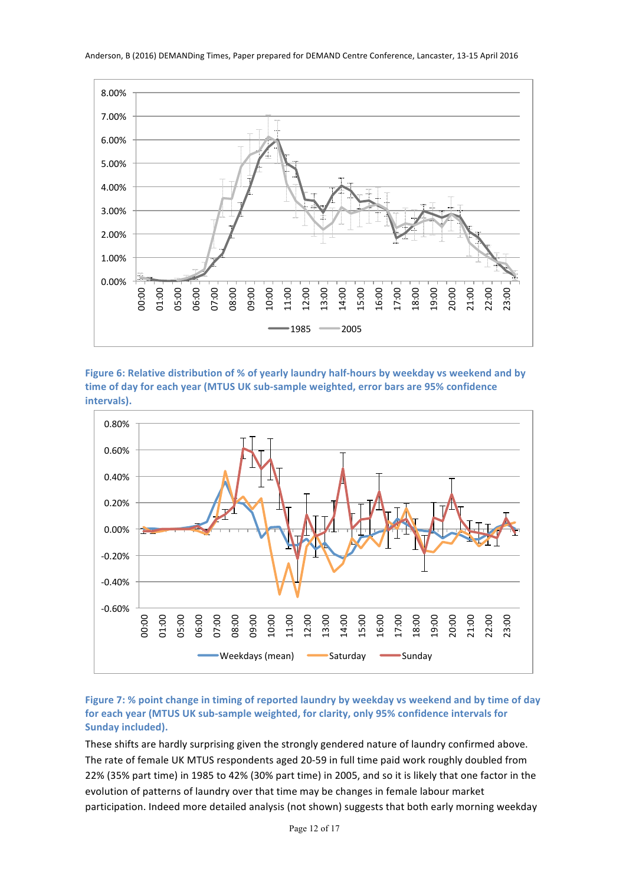

Figure 6: Relative distribution of % of yearly laundry half-hours by weekday vs weekend and by time of day for each year (MTUS UK sub-sample weighted, error bars are 95% confidence **intervals).**



### Figure 7: % point change in timing of reported laundry by weekday vs weekend and by time of day for each year (MTUS UK sub-sample weighted, for clarity, only 95% confidence intervals for **Sunday included).**

These shifts are hardly surprising given the strongly gendered nature of laundry confirmed above. The rate of female UK MTUS respondents aged 20-59 in full time paid work roughly doubled from 22% (35% part time) in 1985 to 42% (30% part time) in 2005, and so it is likely that one factor in the evolution of patterns of laundry over that time may be changes in female labour market participation. Indeed more detailed analysis (not shown) suggests that both early morning weekday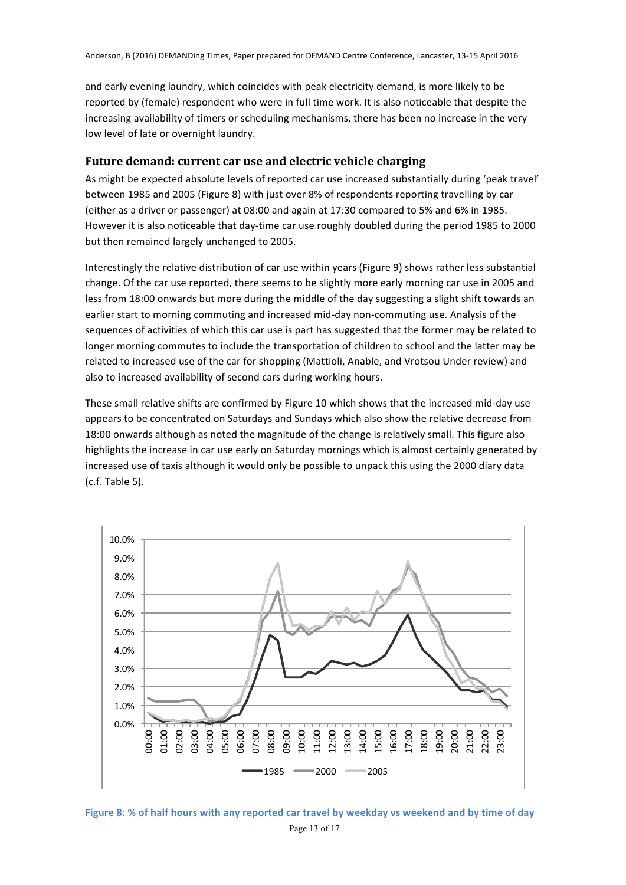and early evening laundry, which coincides with peak electricity demand, is more likely to be reported by (female) respondent who were in full time work. It is also noticeable that despite the increasing availability of timers or scheduling mechanisms, there has been no increase in the very low level of late or overnight laundry.

## Future demand: current car use and electric vehicle charging

As might be expected absolute levels of reported car use increased substantially during 'peak travel' between 1985 and 2005 (Figure 8) with just over 8% of respondents reporting travelling by car (either as a driver or passenger) at 08:00 and again at 17:30 compared to 5% and 6% in 1985. However it is also noticeable that day-time car use roughly doubled during the period 1985 to 2000 but then remained largely unchanged to 2005.

Interestingly the relative distribution of car use within years (Figure 9) shows rather less substantial change. Of the car use reported, there seems to be slightly more early morning car use in 2005 and less from 18:00 onwards but more during the middle of the day suggesting a slight shift towards an earlier start to morning commuting and increased mid-day non-commuting use. Analysis of the sequences of activities of which this car use is part has suggested that the former may be related to longer morning commutes to include the transportation of children to school and the latter may be related to increased use of the car for shopping (Mattioli, Anable, and Vrotsou Under review) and also to increased availability of second cars during working hours.

These small relative shifts are confirmed by Figure 10 which shows that the increased mid-day use appears to be concentrated on Saturdays and Sundays which also show the relative decrease from 18:00 onwards although as noted the magnitude of the change is relatively small. This figure also highlights the increase in car use early on Saturday mornings which is almost certainly generated by increased use of taxis although it would only be possible to unpack this using the 2000 diary data  $(c.f. Table 5).$ 



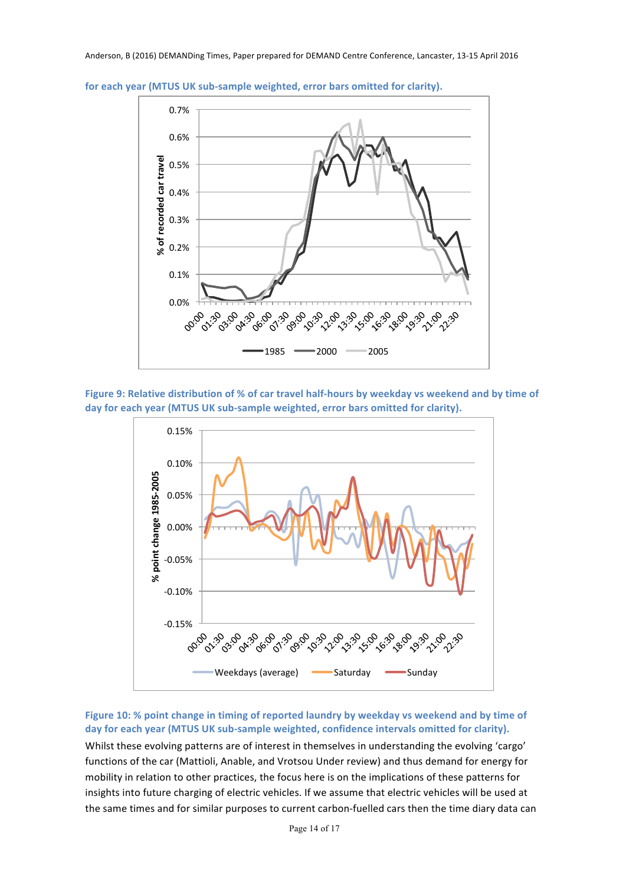

for each year (MTUS UK sub-sample weighted, error bars omitted for clarity).

Figure 9: Relative distribution of % of car travel half-hours by weekday vs weekend and by time of day for each year (MTUS UK sub-sample weighted, error bars omitted for clarity).



Figure 10: % point change in timing of reported laundry by weekday vs weekend and by time of day for each year (MTUS UK sub-sample weighted, confidence intervals omitted for clarity). Whilst these evolving patterns are of interest in themselves in understanding the evolving 'cargo' functions of the car (Mattioli, Anable, and Vrotsou Under review) and thus demand for energy for mobility in relation to other practices, the focus here is on the implications of these patterns for insights into future charging of electric vehicles. If we assume that electric vehicles will be used at the same times and for similar purposes to current carbon-fuelled cars then the time diary data can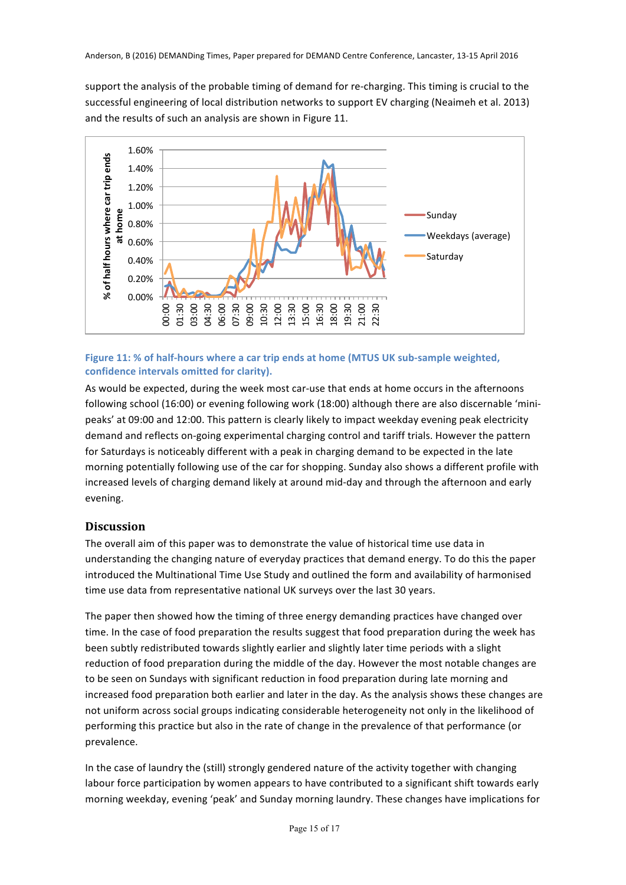support the analysis of the probable timing of demand for re-charging. This timing is crucial to the successful engineering of local distribution networks to support EV charging (Neaimeh et al. 2013) and the results of such an analysis are shown in Figure 11.



## Figure 11: % of half-hours where a car trip ends at home (MTUS UK sub-sample weighted, confidence intervals omitted for clarity).

As would be expected, during the week most car-use that ends at home occurs in the afternoons following school (16:00) or evening following work (18:00) although there are also discernable 'minipeaks' at 09:00 and 12:00. This pattern is clearly likely to impact weekday evening peak electricity demand and reflects on-going experimental charging control and tariff trials. However the pattern for Saturdays is noticeably different with a peak in charging demand to be expected in the late morning potentially following use of the car for shopping. Sunday also shows a different profile with increased levels of charging demand likely at around mid-day and through the afternoon and early evening.

# **Discussion**

The overall aim of this paper was to demonstrate the value of historical time use data in understanding the changing nature of everyday practices that demand energy. To do this the paper introduced the Multinational Time Use Study and outlined the form and availability of harmonised time use data from representative national UK surveys over the last 30 years.

The paper then showed how the timing of three energy demanding practices have changed over time. In the case of food preparation the results suggest that food preparation during the week has been subtly redistributed towards slightly earlier and slightly later time periods with a slight reduction of food preparation during the middle of the day. However the most notable changes are to be seen on Sundays with significant reduction in food preparation during late morning and increased food preparation both earlier and later in the day. As the analysis shows these changes are not uniform across social groups indicating considerable heterogeneity not only in the likelihood of performing this practice but also in the rate of change in the prevalence of that performance (or prevalence.

In the case of laundry the (still) strongly gendered nature of the activity together with changing labour force participation by women appears to have contributed to a significant shift towards early morning weekday, evening 'peak' and Sunday morning laundry. These changes have implications for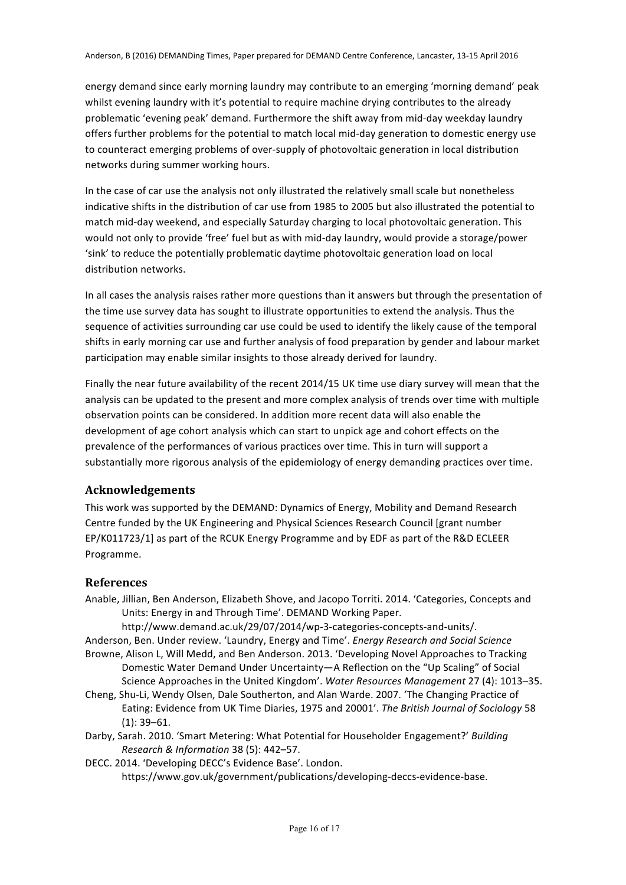energy demand since early morning laundry may contribute to an emerging 'morning demand' peak whilst evening laundry with it's potential to require machine drying contributes to the already problematic 'evening peak' demand. Furthermore the shift away from mid-day weekday laundry offers further problems for the potential to match local mid-day generation to domestic energy use to counteract emerging problems of over-supply of photovoltaic generation in local distribution networks during summer working hours.

In the case of car use the analysis not only illustrated the relatively small scale but nonetheless indicative shifts in the distribution of car use from 1985 to 2005 but also illustrated the potential to match mid-day weekend, and especially Saturday charging to local photovoltaic generation. This would not only to provide 'free' fuel but as with mid-day laundry, would provide a storage/power 'sink' to reduce the potentially problematic daytime photovoltaic generation load on local distribution networks.

In all cases the analysis raises rather more questions than it answers but through the presentation of the time use survey data has sought to illustrate opportunities to extend the analysis. Thus the sequence of activities surrounding car use could be used to identify the likely cause of the temporal shifts in early morning car use and further analysis of food preparation by gender and labour market participation may enable similar insights to those already derived for laundry.

Finally the near future availability of the recent 2014/15 UK time use diary survey will mean that the analysis can be updated to the present and more complex analysis of trends over time with multiple observation points can be considered. In addition more recent data will also enable the development of age cohort analysis which can start to unpick age and cohort effects on the prevalence of the performances of various practices over time. This in turn will support a substantially more rigorous analysis of the epidemiology of energy demanding practices over time.

# **Acknowledgements**

This work was supported by the DEMAND: Dynamics of Energy, Mobility and Demand Research Centre funded by the UK Engineering and Physical Sciences Research Council [grant number EP/K011723/1] as part of the RCUK Energy Programme and by EDF as part of the R&D ECLEER Programme.

## **References**

Anable, Jillian, Ben Anderson, Elizabeth Shove, and Jacopo Torriti. 2014. 'Categories, Concepts and Units: Energy in and Through Time'. DEMAND Working Paper.

http://www.demand.ac.uk/29/07/2014/wp-3-categories-concepts-and-units/. Anderson, Ben. Under review. 'Laundry, Energy and Time'. *Energy Research and Social Science* Browne, Alison L, Will Medd, and Ben Anderson. 2013. 'Developing Novel Approaches to Tracking

- Domestic Water Demand Under Uncertainty—A Reflection on the "Up Scaling" of Social Science Approaches in the United Kingdom'. *Water Resources Management* 27 (4): 1013–35.
- Cheng, Shu-Li, Wendy Olsen, Dale Southerton, and Alan Warde. 2007. 'The Changing Practice of Eating: Evidence from UK Time Diaries, 1975 and 20001'. The British Journal of Sociology 58  $(1): 39 - 61.$
- Darby, Sarah. 2010. 'Smart Metering: What Potential for Householder Engagement?' *Building Research & Information* 38 (5): 442–57.
- DECC. 2014. 'Developing DECC's Evidence Base'. London. https://www.gov.uk/government/publications/developing-deccs-evidence-base.